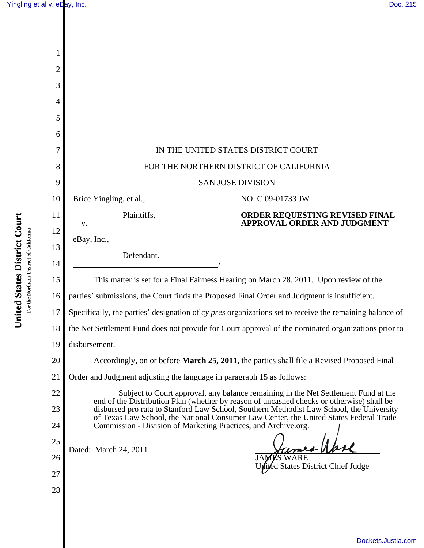| 2  |                                                                                                                                                                                    |  |  |
|----|------------------------------------------------------------------------------------------------------------------------------------------------------------------------------------|--|--|
| 3  |                                                                                                                                                                                    |  |  |
| 4  |                                                                                                                                                                                    |  |  |
| 5  |                                                                                                                                                                                    |  |  |
| 6  |                                                                                                                                                                                    |  |  |
| 7  | IN THE UNITED STATES DISTRICT COURT                                                                                                                                                |  |  |
| 8  | FOR THE NORTHERN DISTRICT OF CALIFORNIA                                                                                                                                            |  |  |
| 9  | <b>SAN JOSE DIVISION</b>                                                                                                                                                           |  |  |
| 10 | Brice Yingling, et al.,<br>NO. C 09-01733 JW                                                                                                                                       |  |  |
| 11 | Plaintiffs,<br>ORDER REQUESTING REVISED FINAL<br><b>APPROVAL ORDER AND JUDGMENT</b><br>V.                                                                                          |  |  |
| 12 | eBay, Inc.,                                                                                                                                                                        |  |  |
| 13 | Defendant.                                                                                                                                                                         |  |  |
| 14 |                                                                                                                                                                                    |  |  |
| 15 | This matter is set for a Final Fairness Hearing on March 28, 2011. Upon review of the                                                                                              |  |  |
| 16 | parties' submissions, the Court finds the Proposed Final Order and Judgment is insufficient.                                                                                       |  |  |
| 17 | Specifically, the parties' designation of cy pres organizations set to receive the remaining balance of                                                                            |  |  |
| 18 | the Net Settlement Fund does not provide for Court approval of the nominated organizations prior to                                                                                |  |  |
| 19 | disbursement.                                                                                                                                                                      |  |  |
| 20 | Accordingly, on or before <b>March 25, 2011</b> , the parties shall file a Revised Proposed Final                                                                                  |  |  |
| 21 | Order and Judgment adjusting the language in paragraph 15 as follows:                                                                                                              |  |  |
| 22 | Subject to Court approval, any balance remaining in the Net Settlement Fund at the<br>end of the Distribution Plan (whether by reason of uncashed checks or otherwise) shall be    |  |  |
| 23 | disbursed pro rata to Stanford Law School, Southern Methodist Law School, the University<br>of Texas Law School, the National Consumer Law Center, the United States Federal Trade |  |  |
| 24 | Commission - Division of Marketing Practices, and Archive.org.                                                                                                                     |  |  |
| 25 | $\mathcal{L}$<br>Dated: March 24, 2011                                                                                                                                             |  |  |
| 26 | <b>States District Chief Judge</b>                                                                                                                                                 |  |  |
| 27 |                                                                                                                                                                                    |  |  |
| 28 |                                                                                                                                                                                    |  |  |

United States District Court **United States District Court** For the Northern District of California For the Northern District of California